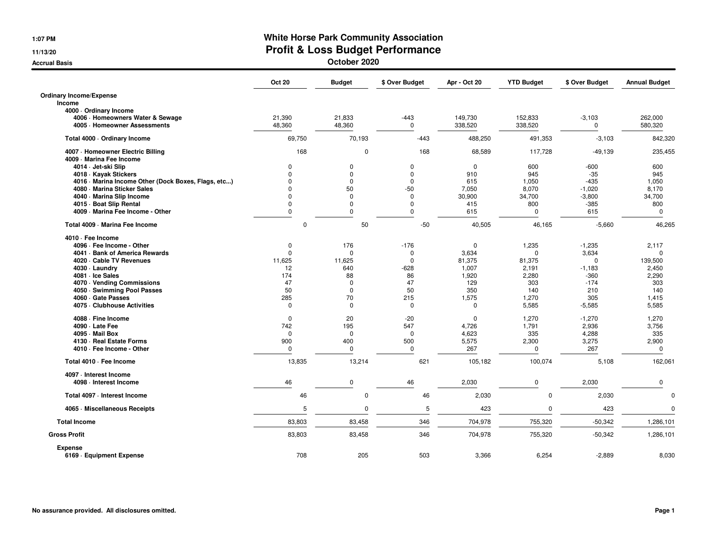**1:07 PM**

**11/13/20**

**Accrual Basis**

## **White Horse Park Community Association Profit & Loss Budget Performance**

**October 2020**

|                                                                  | <b>Oct 20</b>    | <b>Budget</b>    | \$ Over Budget     | Apr - Oct 20       | <b>YTD Budget</b>  | \$ Over Budget       | <b>Annual Budget</b> |
|------------------------------------------------------------------|------------------|------------------|--------------------|--------------------|--------------------|----------------------|----------------------|
| <b>Ordinary Income/Expense</b>                                   |                  |                  |                    |                    |                    |                      |                      |
| Income                                                           |                  |                  |                    |                    |                    |                      |                      |
| 4000 Ordinary Income                                             |                  |                  |                    |                    |                    |                      |                      |
| 4006 · Homeowners Water & Sewage<br>4005 · Homeowner Assessments | 21,390<br>48,360 | 21,833<br>48,360 | $-443$<br>$\Omega$ | 149,730<br>338,520 | 152,833<br>338,520 | $-3,103$<br>$\Omega$ | 262,000<br>580,320   |
| Total 4000 · Ordinary Income                                     | 69,750           | 70,193           | $-443$             | 488,250            | 491,353            | $-3,103$             | 842,320              |
| 4007 - Homeowner Electric Billing<br>4009 - Marina Fee Income    | 168              | $\mathbf 0$      | 168                | 68,589             | 117,728            | $-49,139$            | 235,455              |
| 4014 · Jet-ski Slip                                              | $\mathbf 0$      | 0                | 0                  | $\mathbf 0$        | 600                | $-600$               | 600                  |
| 4018 · Kayak Stickers                                            | $\Omega$         | $\Omega$         | $\mathbf 0$        | 910                | 945                | $-35$                | 945                  |
| 4016 · Marina Income Other (Dock Boxes, Flags, etc)              | $\Omega$         | $\Omega$         | $\mathbf 0$        | 615                | 1,050              | $-435$               | 1,050                |
| 4080 - Marina Sticker Sales                                      | $\Omega$         | 50               | $-50$              | 7,050              | 8,070              | $-1,020$             | 8,170                |
| 4040 · Marina Slip Income                                        | $\Omega$         | $\mathbf 0$      | $\mathbf 0$        | 30,900             | 34,700             | $-3,800$             | 34,700               |
| 4015 - Boat Slip Rental                                          | $\Omega$         | $\Omega$         | $\mathbf 0$        | 415                | 800                | -385                 | 800                  |
| 4009 - Marina Fee Income - Other                                 | $\mathbf 0$      | $\Omega$         | $\Omega$           | 615                | $\mathbf 0$        | 615                  | $\mathbf 0$          |
| Total 4009 - Marina Fee Income                                   | $\mathbf 0$      | 50               | $-50$              | 40,505             | 46,165             | $-5,660$             | 46,265               |
| 4010 · Fee Income                                                |                  |                  |                    |                    |                    |                      |                      |
| 4096 · Fee Income - Other                                        | $\mathbf 0$      | 176              | $-176$             | $\mathbf 0$        | 1,235              | $-1,235$             | 2,117                |
| 4041 · Bank of America Rewards                                   | $\Omega$         | $\Omega$         | $\mathbf 0$        | 3,634              | $\Omega$           | 3,634                | $\mathbf 0$          |
| 4020 · Cable TV Revenues                                         | 11.625           | 11.625           | $\Omega$           | 81.375             | 81,375             | $\Omega$             | 139,500              |
| 4030 · Laundry                                                   | 12               | 640              | $-628$             | 1,007              | 2,191              | $-1,183$             | 2,450                |
| 4081 - Ice Sales                                                 | 174              | 88               | 86                 | 1,920              | 2,280              | $-360$               | 2,290                |
| 4070 · Vending Commissions                                       | 47               | $\Omega$         | 47                 | 129                | 303                | $-174$               | 303                  |
| 4050 · Swimming Pool Passes                                      | 50               | $\mathbf 0$      | 50                 | 350                | 140                | 210                  | 140                  |
| 4060 · Gate Passes                                               | 285              | 70               | 215                | 1,575              | 1,270              | 305                  | 1,415                |
| 4075 - Clubhouse Activities                                      | 0                | $\Omega$         | $\mathbf 0$        | 0                  | 5,585              | $-5,585$             | 5,585                |
| 4088 - Fine Income                                               | 0                | 20               | $-20$              | 0                  | 1,270              | $-1,270$             | 1,270                |
| 4090 · Late Fee                                                  | 742              | 195              | 547                | 4,726              | 1,791              | 2,936                | 3,756                |
| 4095 - Mail Box                                                  | $\Omega$         | $\mathbf 0$      | $\Omega$           | 4,623              | 335                | 4,288                | 335                  |
| 4130 · Real Estate Forms                                         | 900              | 400              | 500                | 5,575              | 2,300              | 3,275                | 2,900                |
| 4010 · Fee Income - Other                                        | $\Omega$         | $\Omega$         | $\mathbf 0$        | 267                | $\Omega$           | 267                  | 0                    |
| Total 4010 · Fee Income                                          | 13,835           | 13,214           | 621                | 105,182            | 100,074            | 5,108                | 162,061              |
| 4097 - Interest Income<br>4098 - Interest Income                 | 46               | 0                | 46                 | 2,030              | 0                  | 2,030                | 0                    |
|                                                                  |                  |                  |                    |                    |                    |                      |                      |
| Total 4097 - Interest Income                                     | 46               | $\mathbf 0$      | 46                 | 2,030              | $\Omega$           | 2,030                | $\Omega$             |
| 4065 - Miscellaneous Receipts                                    | 5                | $\mathbf 0$      | 5                  | 423                | $\Omega$           | 423                  | $\Omega$             |
| <b>Total Income</b>                                              | 83,803           | 83,458           | 346                | 704,978            | 755,320            | $-50,342$            | 1,286,101            |
| <b>Gross Profit</b>                                              | 83,803           | 83,458           | 346                | 704,978            | 755,320            | $-50,342$            | 1,286,101            |
| <b>Expense</b><br>6169 · Equipment Expense                       | 708              | 205              | 503                | 3,366              | 6,254              | $-2,889$             | 8,030                |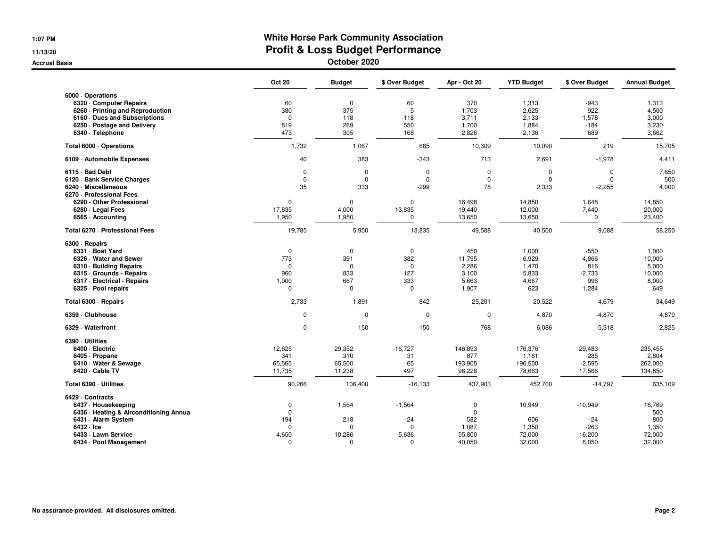**1:07 PM**

**11/13/20**

**Accrual Basis**

## **White Horse Park Community Association Profit & Loss Budget Performance**

**October 2020**

|                                                                                                                                                                             | <b>Oct 20</b>                                                      | <b>Budget</b>                                            | \$ Over Budget                                        | Apr - Oct 20                                                   | <b>YTD Budget</b>                                                 | \$ Over Budget                                          | <b>Annual Budget</b>                                |
|-----------------------------------------------------------------------------------------------------------------------------------------------------------------------------|--------------------------------------------------------------------|----------------------------------------------------------|-------------------------------------------------------|----------------------------------------------------------------|-------------------------------------------------------------------|---------------------------------------------------------|-----------------------------------------------------|
| 6000 · Operations<br>6320 - Computer Repairs<br>6260 - Printing and Reproduction<br>6160 Dues and Subscriptions<br>6250 · Postage and Delivery<br>6340 · Telephone          | 60<br>380<br>$\Omega$<br>819<br>473                                | $\pmb{0}$<br>375<br>118<br>269<br>305                    | 60<br>5<br>$-118$<br>550<br>168                       | 370<br>1,703<br>3,711<br>1,700<br>2,826                        | 1,313<br>2,625<br>2,133<br>1,884<br>2,136                         | $-943$<br>$-922$<br>1,578<br>$-184$<br>689              | 1,313<br>4,500<br>3,000<br>3,230<br>3,662           |
| Total 6000 · Operations                                                                                                                                                     | 1,732                                                              | 1,067                                                    | 665                                                   | 10,309                                                         | 10,090                                                            | 219                                                     | 15,705                                              |
| 6109 - Automobile Expenses                                                                                                                                                  | 40                                                                 | 383                                                      | $-343$                                                | 713                                                            | 2,691                                                             | $-1,978$                                                | 4,411                                               |
| 6115 Bad Debt<br>6120 · Bank Service Charges<br>6240 · Miscellaneous<br>6270 - Professional Fees<br>6290 - Other Professional<br>6280 · Legal Fees<br>6565 - Accounting     | $\mathbf 0$<br>$\mathbf 0$<br>35<br>$\mathbf 0$<br>17,835<br>1,950 | 0<br>$\mathbf 0$<br>333<br>$\mathbf 0$<br>4,000<br>1,950 | 0<br>0<br>$-299$<br>$\mathbf 0$<br>13,835<br>0        | $\mathbf 0$<br>$\mathbf 0$<br>78<br>16,498<br>19,440<br>13,650 | $\mathbf 0$<br>$\mathbf 0$<br>2,333<br>14,850<br>12,000<br>13,650 | 0<br>$\Omega$<br>$-2,255$<br>1,648<br>7,440<br>$\Omega$ | 7,650<br>500<br>4,000<br>14,850<br>20,000<br>23,400 |
| Total 6270 - Professional Fees                                                                                                                                              | 19,785                                                             | 5,950                                                    | 13,835                                                | 49,588                                                         | 40,500                                                            | 9,088                                                   | 58,250                                              |
| 6300 · Repairs<br>6331 · Boat Yard<br>6326 · Water and Sewer<br>6310 Building Repairs<br>6315 Grounds - Repairs<br>6317 - Electrical - Repairs<br>6325 · Pool repairs       | $\mathbf 0$<br>773<br>$\Omega$<br>960<br>1,000<br>$\mathbf 0$      | $\mathbf 0$<br>391<br>0<br>833<br>667<br>$\mathbf 0$     | $\mathbf 0$<br>382<br>0<br>127<br>333<br>$\mathbf 0$  | 450<br>11,795<br>2,286<br>3,100<br>5,663<br>1,907              | 1,000<br>6,929<br>1,470<br>5,833<br>4,667<br>623                  | $-550$<br>4,866<br>816<br>$-2,733$<br>996<br>1,284      | 1,000<br>10,000<br>5,000<br>10,000<br>8,000<br>649  |
| Total 6300 · Repairs                                                                                                                                                        | 2,733                                                              | 1,891                                                    | 842                                                   | 25,201                                                         | 20,522                                                            | 4,679                                                   | 34,649                                              |
| 6359 Clubhouse                                                                                                                                                              | $\mathbf 0$                                                        | 0                                                        | 0                                                     | $\mathbf 0$                                                    | 4,870                                                             | $-4,870$                                                | 4,870                                               |
| 6329 - Waterfront                                                                                                                                                           | 0                                                                  | 150                                                      | $-150$                                                | 768                                                            | 6,086                                                             | $-5,318$                                                | 2,825                                               |
| 6390 Utilities<br>6400 · Electric<br>6405 · Propane<br>6410 Water & Sewage<br>6420 · Cable TV                                                                               | 12,625<br>341<br>65,565<br>11,735                                  | 29,352<br>310<br>65,500<br>11,238                        | $-16,727$<br>31<br>65<br>497                          | 146,893<br>877<br>193,905<br>96,228                            | 176,376<br>1,161<br>196,500<br>78,663                             | $-29,483$<br>$-285$<br>$-2,595$<br>17,566               | 235,455<br>2,804<br>262,000<br>134,850              |
| Total 6390 - Utilities                                                                                                                                                      | 90,266                                                             | 106,400                                                  | $-16,133$                                             | 437,903                                                        | 452,700                                                           | $-14,797$                                               | 635,109                                             |
| 6429 Contracts<br>6437 - Housekeeping<br>6436 · Heating & Airconditioning Annua<br>6431 · Alarm System<br>$6432 \cdot$ Ice<br>6433 - Lawn Service<br>6434 · Pool Management | 0<br>$\Omega$<br>194<br>$\Omega$<br>4,650<br>0                     | 1,564<br>218<br>$\Omega$<br>10,286<br>0                  | $-1,564$<br>$-24$<br>$\Omega$<br>$-5,636$<br>$\Omega$ | 0<br>0<br>582<br>1,087<br>55,800<br>40,050                     | 10,949<br>606<br>1,350<br>72,000<br>32,000                        | $-10,949$<br>$-24$<br>$-263$<br>$-16,200$<br>8,050      | 18,769<br>500<br>800<br>1,350<br>72,000<br>32,000   |